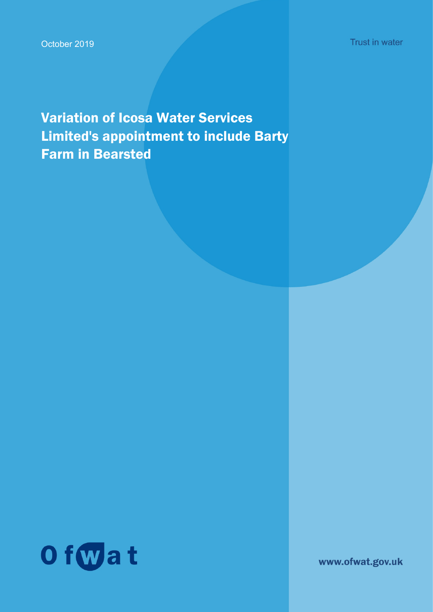Variation of Icosa Water Services Limited's appointment to include Barty Farm in Bearsted



www.ofwat.gov.uk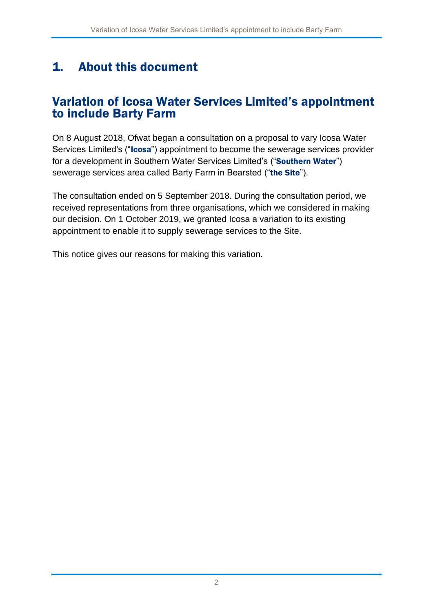## 1. About this document

#### Variation of Icosa Water Services Limited's appointment to include Barty Farm

On 8 August 2018, Ofwat began a consultation on a proposal to vary Icosa Water Services Limited's ("Icosa") appointment to become the sewerage services provider for a development in Southern Water Services Limited's ("Southern Water") sewerage services area called Barty Farm in Bearsted ("the Site").

The consultation ended on 5 September 2018. During the consultation period, we received representations from three organisations, which we considered in making our decision. On 1 October 2019, we granted Icosa a variation to its existing appointment to enable it to supply sewerage services to the Site.

This notice gives our reasons for making this variation.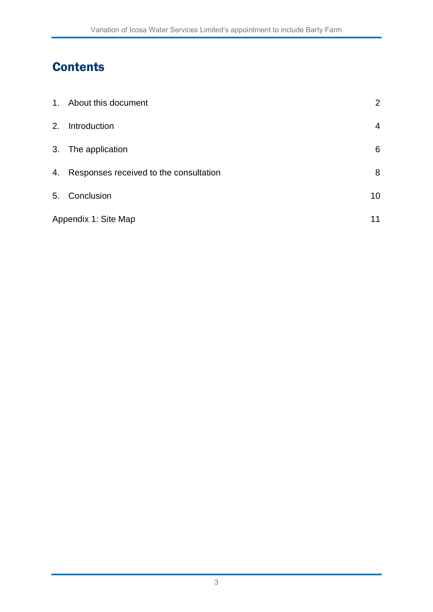# **Contents**

|                      | 1. About this document                    | $\overline{2}$ |
|----------------------|-------------------------------------------|----------------|
| 2.                   | Introduction                              | 4              |
|                      | 3. The application                        | 6              |
|                      | 4. Responses received to the consultation | 8              |
|                      | 5. Conclusion                             | 10             |
| Appendix 1: Site Map |                                           | 11             |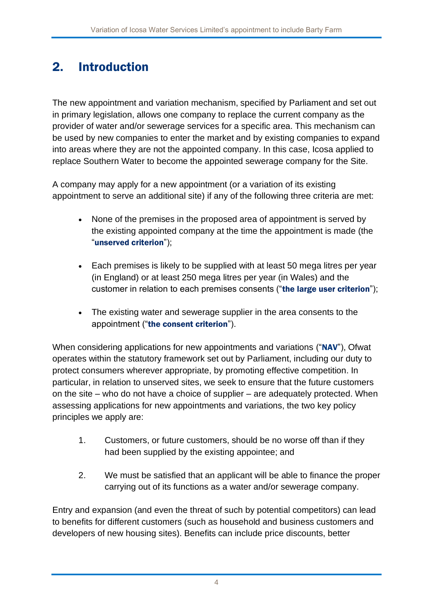## 2. Introduction

The new appointment and variation mechanism, specified by Parliament and set out in primary legislation, allows one company to replace the current company as the provider of water and/or sewerage services for a specific area. This mechanism can be used by new companies to enter the market and by existing companies to expand into areas where they are not the appointed company. In this case, Icosa applied to replace Southern Water to become the appointed sewerage company for the Site.

A company may apply for a new appointment (or a variation of its existing appointment to serve an additional site) if any of the following three criteria are met:

- None of the premises in the proposed area of appointment is served by the existing appointed company at the time the appointment is made (the "unserved criterion");
- Each premises is likely to be supplied with at least 50 mega litres per year (in England) or at least 250 mega litres per year (in Wales) and the customer in relation to each premises consents ("the large user criterion");
- The existing water and sewerage supplier in the area consents to the appointment ("the consent criterion").

When considering applications for new appointments and variations ("NAV"), Ofwat operates within the statutory framework set out by Parliament, including our duty to protect consumers wherever appropriate, by promoting effective competition. In particular, in relation to unserved sites, we seek to ensure that the future customers on the site – who do not have a choice of supplier – are adequately protected. When assessing applications for new appointments and variations, the two key policy principles we apply are:

- 1. Customers, or future customers, should be no worse off than if they had been supplied by the existing appointee; and
- 2. We must be satisfied that an applicant will be able to finance the proper carrying out of its functions as a water and/or sewerage company.

Entry and expansion (and even the threat of such by potential competitors) can lead to benefits for different customers (such as household and business customers and developers of new housing sites). Benefits can include price discounts, better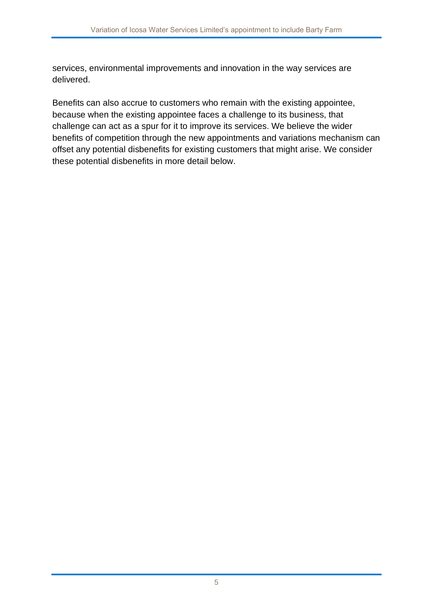services, environmental improvements and innovation in the way services are delivered.

Benefits can also accrue to customers who remain with the existing appointee, because when the existing appointee faces a challenge to its business, that challenge can act as a spur for it to improve its services. We believe the wider benefits of competition through the new appointments and variations mechanism can offset any potential disbenefits for existing customers that might arise. We consider these potential disbenefits in more detail below.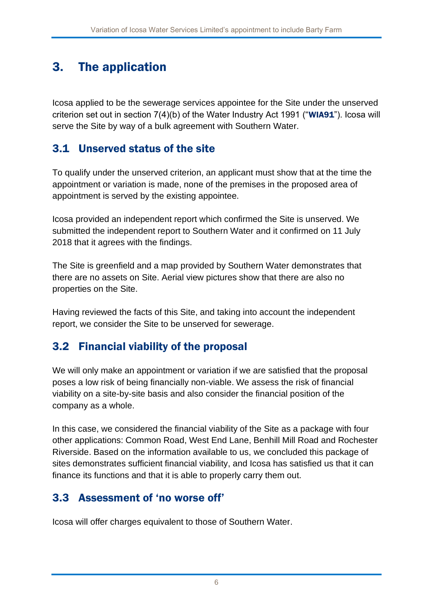## 3. The application

Icosa applied to be the sewerage services appointee for the Site under the unserved criterion set out in section 7(4)(b) of the Water Industry Act 1991 ("WIA91"). Icosa will serve the Site by way of a bulk agreement with Southern Water.

#### 3.1 Unserved status of the site

To qualify under the unserved criterion, an applicant must show that at the time the appointment or variation is made, none of the premises in the proposed area of appointment is served by the existing appointee.

Icosa provided an independent report which confirmed the Site is unserved. We submitted the independent report to Southern Water and it confirmed on 11 July 2018 that it agrees with the findings.

The Site is greenfield and a map provided by Southern Water demonstrates that there are no assets on Site. Aerial view pictures show that there are also no properties on the Site.

Having reviewed the facts of this Site, and taking into account the independent report, we consider the Site to be unserved for sewerage.

#### 3.2 Financial viability of the proposal

We will only make an appointment or variation if we are satisfied that the proposal poses a low risk of being financially non-viable. We assess the risk of financial viability on a site-by-site basis and also consider the financial position of the company as a whole.

In this case, we considered the financial viability of the Site as a package with four other applications: Common Road, West End Lane, Benhill Mill Road and Rochester Riverside. Based on the information available to us, we concluded this package of sites demonstrates sufficient financial viability, and Icosa has satisfied us that it can finance its functions and that it is able to properly carry them out.

#### 3.3 Assessment of 'no worse off'

Icosa will offer charges equivalent to those of Southern Water.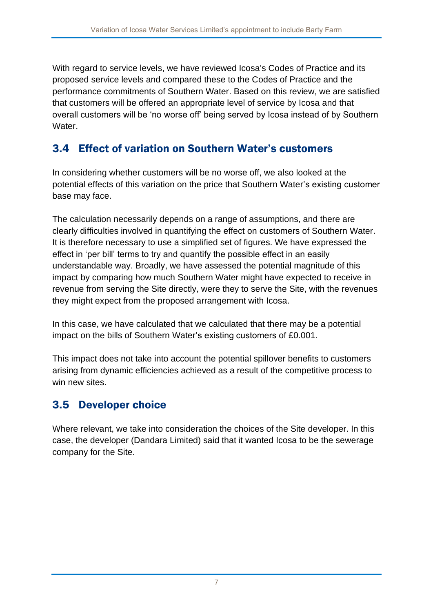With regard to service levels, we have reviewed Icosa's Codes of Practice and its proposed service levels and compared these to the Codes of Practice and the performance commitments of Southern Water. Based on this review, we are satisfied that customers will be offered an appropriate level of service by Icosa and that overall customers will be 'no worse off' being served by Icosa instead of by Southern Water.

#### 3.4 Effect of variation on Southern Water's customers

In considering whether customers will be no worse off, we also looked at the potential effects of this variation on the price that Southern Water's existing customer base may face.

The calculation necessarily depends on a range of assumptions, and there are clearly difficulties involved in quantifying the effect on customers of Southern Water. It is therefore necessary to use a simplified set of figures. We have expressed the effect in 'per bill' terms to try and quantify the possible effect in an easily understandable way. Broadly, we have assessed the potential magnitude of this impact by comparing how much Southern Water might have expected to receive in revenue from serving the Site directly, were they to serve the Site, with the revenues they might expect from the proposed arrangement with Icosa.

In this case, we have calculated that we calculated that there may be a potential impact on the bills of Southern Water's existing customers of £0.001.

This impact does not take into account the potential spillover benefits to customers arising from dynamic efficiencies achieved as a result of the competitive process to win new sites.

#### 3.5 Developer choice

Where relevant, we take into consideration the choices of the Site developer. In this case, the developer (Dandara Limited) said that it wanted Icosa to be the sewerage company for the Site.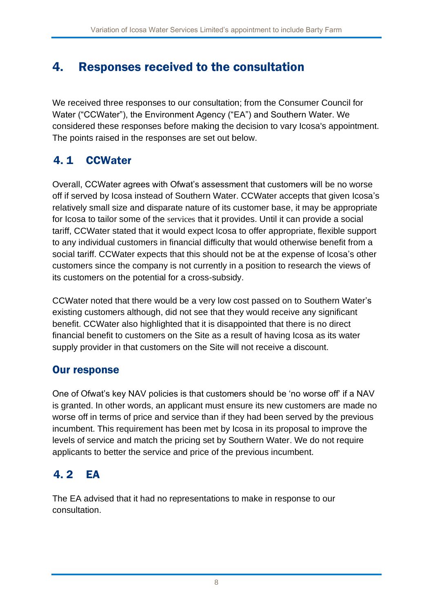## 4. Responses received to the consultation

We received three responses to our consultation; from the Consumer Council for Water ("CCWater"), the Environment Agency ("EA") and Southern Water. We considered these responses before making the decision to vary Icosa's appointment. The points raised in the responses are set out below.

### 4. 1 CCWater

Overall, CCWater agrees with Ofwat's assessment that customers will be no worse off if served by Icosa instead of Southern Water. CCWater accepts that given Icosa's relatively small size and disparate nature of its customer base, it may be appropriate for Icosa to tailor some of the services that it provides. Until it can provide a social tariff, CCWater stated that it would expect Icosa to offer appropriate, flexible support to any individual customers in financial difficulty that would otherwise benefit from a social tariff. CCWater expects that this should not be at the expense of Icosa's other customers since the company is not currently in a position to research the views of its customers on the potential for a cross-subsidy.

CCWater noted that there would be a very low cost passed on to Southern Water's existing customers although, did not see that they would receive any significant benefit. CCWater also highlighted that it is disappointed that there is no direct financial benefit to customers on the Site as a result of having Icosa as its water supply provider in that customers on the Site will not receive a discount.

#### Our response

One of Ofwat's key NAV policies is that customers should be 'no worse off' if a NAV is granted. In other words, an applicant must ensure its new customers are made no worse off in terms of price and service than if they had been served by the previous incumbent. This requirement has been met by Icosa in its proposal to improve the levels of service and match the pricing set by Southern Water. We do not require applicants to better the service and price of the previous incumbent.

### 4. 2 EA

The EA advised that it had no representations to make in response to our consultation.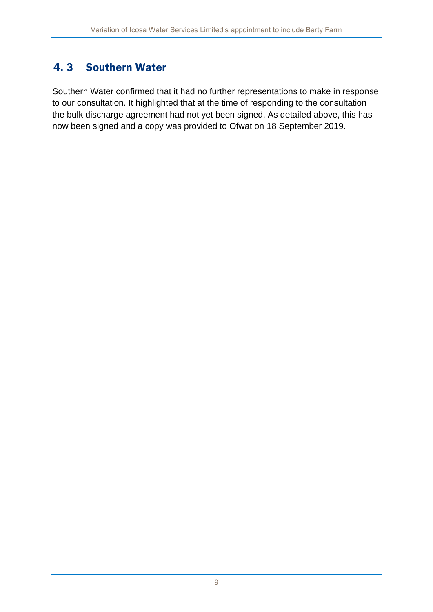### 4. 3 Southern Water

Southern Water confirmed that it had no further representations to make in response to our consultation. It highlighted that at the time of responding to the consultation the bulk discharge agreement had not yet been signed. As detailed above, this has now been signed and a copy was provided to Ofwat on 18 September 2019.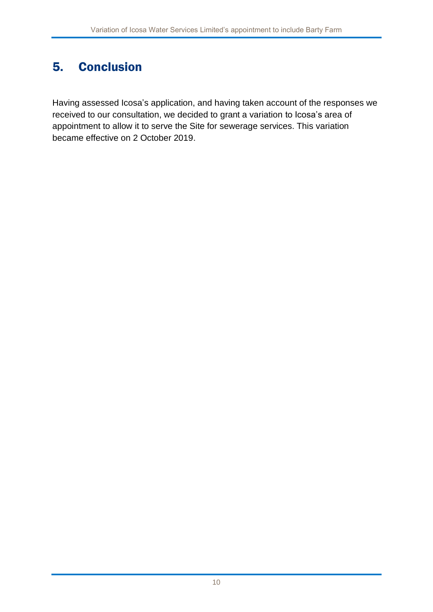# 5. Conclusion

Having assessed Icosa's application, and having taken account of the responses we received to our consultation, we decided to grant a variation to Icosa's area of appointment to allow it to serve the Site for sewerage services. This variation became effective on 2 October 2019.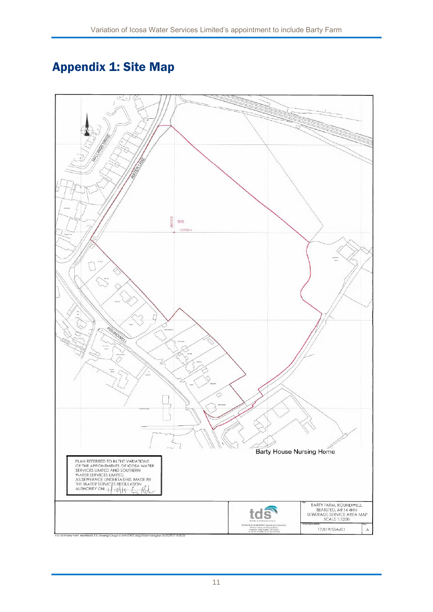# Appendix 1: Site Map